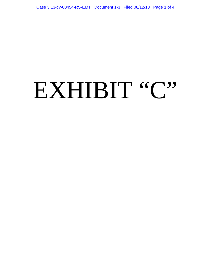## EXHIBIT "C"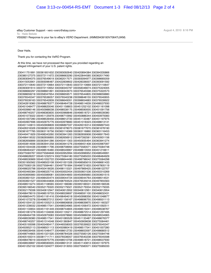eBay Customer Support - vero <vero@ebay.com> To: Haile Bekele VE62821 Response to your fax to eBay's VERO Department. (KMM29439193V70647L0KM)

## Dear Haile,

Thank you for contacting the VeRO Program.

At this time, we have not processed the report you provided regarding an alleged infringement of your U.S. patent rights.

August 4, 2010 8:16 PM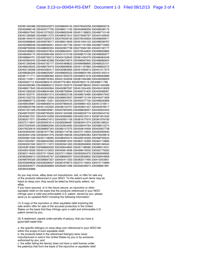As you may know, eBay does not manufacture, sell, or offer for sale any of the products referenced in your NOCI. To the extent such items may be listed on ebay.com, they would be listed by third-party sellers, not eBay.

If you have secured, or in the future secure, an injunction or other equitable relief on the basis that the products referenced in your NOCI infringe upon a valid and enforceable U.S. patent owned by you, please send us an updated NOCI including the following information:

(1) A copy of the injunction or other equitable relief enjoining the sale and/or offer for sale of the accused product(s) in the United States on the basis that they infringe upon a valid and enforceable U.S. patent owned by you;

(2) A statement, signed under penalty of perjury, that you have a good-faith belief that:

a. the specific listing(s) on www.ebay.com referenced in your NOCI fall within the scope of such equitable relief;

b. the products listed in the referenced listing(s) were never manufactured or sold in the United States by you or by someone authorized by you; and

c. the seller listing the item(s) does not have a valid license under the patent(s) that form the basis of the injunctive or equitable relief.